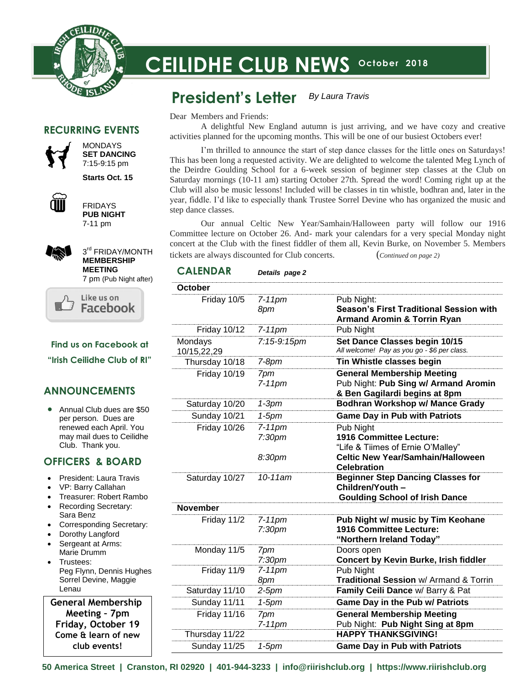

# **CEILIDHE CLUB NEWS** October 2018

#### **President's Letter** *By Laura Travis*

Dear Members and Friends:

A delightful New England autumn is just arriving, and we have cozy and creative activities planned for the upcoming months. This will be one of our busiest Octobers ever!

I'm thrilled to announce the start of step dance classes for the little ones on Saturdays! This has been long a requested activity. We are delighted to welcome the talented Meg Lynch of the Deirdre Goulding School for a 6-week session of beginner step classes at the Club on Saturday mornings (10-11 am) starting October 27th. Spread the word! Coming right up at the Club will also be music lessons! Included will be classes in tin whistle, bodhran and, later in the year, fiddle. I'd like to especially thank Trustee Sorrel Devine who has organized the music and step dance classes.

Our annual Celtic New Year/Samhain/Halloween party will follow our 1916 Committee lecture on October 26. And- mark your calendars for a very special Monday night concert at the Club with the finest fiddler of them all, Kevin Burke, on November 5. Members tickets are always discounted for Club concerts. (*Continued on page 2)*

### **CALENDAR** *Details page 2*

 $U$ d like to close by the Board and members for attending  $U$ 

| October                |                                           |                                                                                                                       |
|------------------------|-------------------------------------------|-----------------------------------------------------------------------------------------------------------------------|
| Friday 10/5            | $7-11$ pm<br>8pm                          | Pub Night:<br><b>Season's First Traditional Session with</b><br><b>Armand Aromin &amp; Torrin Ryan</b>                |
| <b>Friday 10/12</b>    | $7-11$ pm                                 | Pub Night                                                                                                             |
| Mondays<br>10/15,22,29 | 7:15-9:15pm                               | Set Dance Classes begin 10/15<br>All welcome! Pay as you go - \$6 per class.                                          |
| Thursday 10/18         | $7-8pm$                                   | Tin Whistle classes begin                                                                                             |
| Friday 10/19           | 7pm<br>$7-11$ pm                          | <b>General Membership Meeting</b><br>Pub Night: Pub Sing w/ Armand Aromin<br>& Ben Gagilardi begins at 8pm            |
| Saturday 10/20         | $1-3$ pm                                  | <b>Bodhran Workshop w/ Mance Grady</b>                                                                                |
| Sunday 10/21           | $1-5$ pm                                  | <b>Game Day in Pub with Patriots</b>                                                                                  |
| Friday 10/26           | $7-11$ pm<br>7:30 <sub>pm</sub><br>8:30pm | Pub Night<br>1916 Committee Lecture:<br>"Life & Tiimes of Ernie O'Malley"<br><b>Celtic New Year/Samhain/Halloween</b> |
| Saturday 10/27         | 10-11am                                   | <b>Celebration</b><br><b>Beginner Step Dancing Classes for</b><br>Children/Youth -                                    |
| <b>November</b>        |                                           | <b>Goulding School of Irish Dance</b>                                                                                 |
| Friday 11/2            | $7-11$ pm<br>7:30 <sub>pm</sub>           | Pub Night w/ music by Tim Keohane<br><b>1916 Committee Lecture:</b><br>"Northern Ireland Today"                       |
| Monday 11/5            | 7pm<br>7:30 <sub>pm</sub>                 | Doors open<br><b>Concert by Kevin Burke, Irish fiddler</b>                                                            |
| Friday 11/9            | $7-11$ pm<br>8pm                          | Pub Night<br>Traditional Session w/ Armand & Torrin                                                                   |
| Saturday 11/10         | 2-5pm                                     | Family Ceili Dance w/ Barry & Pat                                                                                     |
| Sunday 11/11           | $1-5$ pm                                  | <b>Game Day in the Pub w/ Patriots</b>                                                                                |
| Friday 11/16           | 7pm<br>$7-11$ pm                          | <b>General Membership Meeting</b><br>Pub Night: Pub Night Sing at 8pm                                                 |
| Thursday 11/22         |                                           | <b>HAPPY THANKSGIVING!</b>                                                                                            |
| Sunday 11/25           | $1-5$ pm                                  | <b>Game Day in Pub with Patriots</b>                                                                                  |

### **RECURRING EVENTS**



MONDAYS **SET DANCING** 7:15-9:15 pm

**Starts Oct. 15**



FRIDAYS **PUB NIGHT** 7-11 pm



3<sup>rd</sup> FRIDAY/MONTH **MEMBERSHIP MEETING** 7 pm (Pub Night after)



**Find us on Facebook at**

**"Irish Ceilidhe Club of RI"**

### **ANNOUNCEMENTS**

• Annual Club dues are \$50 per person. Dues are renewed each April. You may mail dues to Ceilidhe Club. Thank you.

### **OFFICERS & BOARD**

- President: Laura Travis
- VP: Barry Callahan
- Treasurer: Robert Rambo
- Recording Secretary: Sara Benz
- Corresponding Secretary:
- Dorothy Langford
- Sergeant at Arms: Marie Drumm
- Trustees: Peg Flynn, Dennis Hughes Sorrel Devine, Maggie Lenau

 **General Membership**  **Meeting – 7pm Friday, October 19 Come & learn of new club events!**

**50 America Street | Cranston, RI 02920 | 401-944-3233 | info@riirishclub.org | https://www.riirishclub.org**